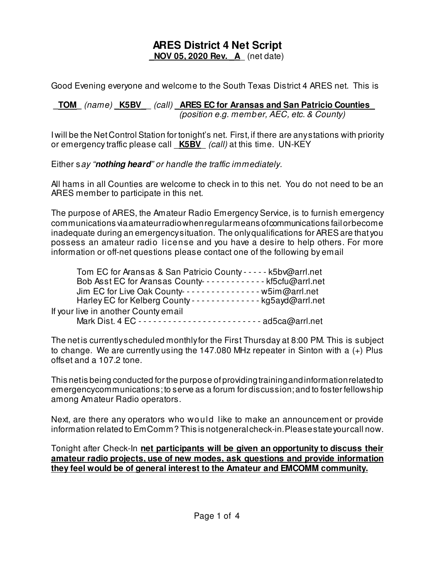## **ARES District 4 Net Script NOV 05, 2020 Rev. A** (net date)

Good Evening everyone and welcome to the South Texas District 4 ARES net. This is

**\_TOM\_** (name) **\_K5BV\_**\_ (call) **\_ARES EC for Aransas and San Patricio Counties\_** (position e.g. member, AEC, etc. & County)

I will be the Net Control Station for tonight's net. First, if there are any stations with priority or emergency traffic please call \_**K5BV**\_ (call) at this time. UN-KEY

Either say "**nothing heard**" or handle the traffic immediately.

All hams in all Counties are welcome to check in to this net. You do not need to be an ARES member to participate in this net.

The purpose of ARES, the Amateur Radio Emergency Service, is to furnish emergency communications via amateur radio when regular means of communications fail or become inadequate during an emergency situation. The only qualifications for ARES are that you possess an amateur radio license and you have a desire to help others. For more information or off-net questions please contact one of the following by email

| Tom EC for Aransas & San Patricio County - - - - - k5bv@arrl.net         |  |
|--------------------------------------------------------------------------|--|
| Bob Asst EC for Aransas County------------- kf5cfu@arrl.net              |  |
| Jim EC for Live Oak County---------------- w5im@arrl.net                 |  |
| Harley EC for Kelberg County - - - - - - - - - - - - - - kg5ayd@arrl.net |  |
| If your live in another County email                                     |  |
| Mark Dist. 4 EC ------------------------- ad5ca@arrl.net                 |  |

The net is currently scheduled monthly for the First Thursday at 8:00 PM. This is subject to change. We are currently using the 147.080 MHz repeater in Sinton with a (+) Plus offset and a 107.2 tone.

This net is being conducted for the purpose of providing training and information related to emergency communications; to serve as a forum for discussion; and to foster fellowship among Amateur Radio operators.

Next, are there any operators who would like to make an announcement or provide information related to EmComm? This is not general check-in. Please state your call now.

Tonight after Check-In **net participants will be given an opportunity to discuss their amateur radio projects, use of new modes, ask questions and provide information they feel would be of general interest to the Amateur and EMCOMM community.**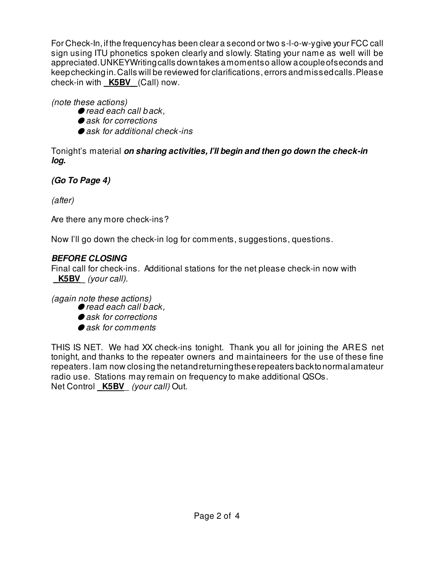For Check-In, if the frequency has been clear a second or two s-l-o-w-y give your FCC call sign using ITU phonetics spoken clearly and slowly. Stating your name as well will be appreciated. UNKEY Writing calls down takes a moment so allow a couple of seconds and keep checking in. Calls will be reviewed for clarifications, errors and missed calls. Please check-in with **K5BV** (Call) now.

(note these actions)

- $\bullet$  read each call back,
- $\bullet$  ask for corrections
- $\bullet$  ask for additional check-ins

Tonight's material **on sharing activities, I'll begin and then go down the check-in log.**

**(Go To Page 4)**

(after)

Are there any more check-ins?

Now I'll go down the check-in log for comments, suggestions, questions.

## **BEFORE CLOSING**

Final call for check-ins. Additional stations for the net please check-in now with **\_K5BV\_** (your call).

(again note these actions)

- $\bullet$  read each call back,
- $\bullet$  ask for corrections
- $\bullet$  ask for comments

THIS IS NET. We had XX check-ins tonight. Thank you all for joining the ARES net tonight, and thanks to the repeater owners and maintaineers for the use of these fine repeaters. I am now closing the net and returning these repeaters back to normal amateur radio use. Stations may remain on frequency to make additional QSOs. Net Control **K5BV** (your call) Out.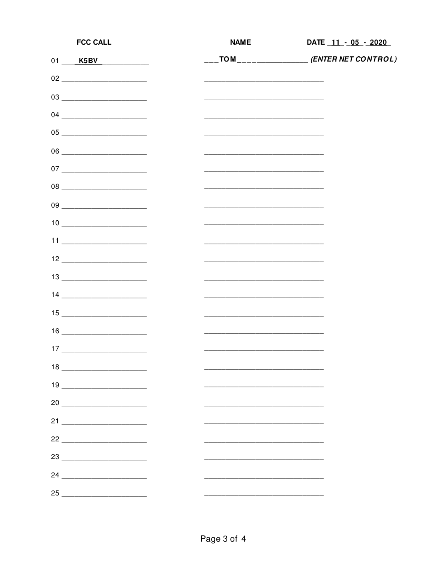| <b>FCC CALL</b>                                                                                                                                                                                                                                                                                                                                                                                | <b>NAME</b>                                                                                                           | DATE 11 - 05 - 2020                                                                                |
|------------------------------------------------------------------------------------------------------------------------------------------------------------------------------------------------------------------------------------------------------------------------------------------------------------------------------------------------------------------------------------------------|-----------------------------------------------------------------------------------------------------------------------|----------------------------------------------------------------------------------------------------|
| 01 K5BV                                                                                                                                                                                                                                                                                                                                                                                        |                                                                                                                       | $\overline{\phantom{a}}$ TOM $\overline{\phantom{a}}$ $\overline{\phantom{a}}$ (ENTER NET CONTROL) |
| $\begin{picture}(180,10) \put(0,0){\line(1,0){10}} \put(10,0){\line(1,0){10}} \put(10,0){\line(1,0){10}} \put(10,0){\line(1,0){10}} \put(10,0){\line(1,0){10}} \put(10,0){\line(1,0){10}} \put(10,0){\line(1,0){10}} \put(10,0){\line(1,0){10}} \put(10,0){\line(1,0){10}} \put(10,0){\line(1,0){10}} \put(10,0){\line(1,0){10}} \put(10,0){\line($                                            |                                                                                                                       |                                                                                                    |
| 03                                                                                                                                                                                                                                                                                                                                                                                             |                                                                                                                       |                                                                                                    |
| $\begin{picture}(150,10) \put(0,0){\dashbox{00}} \put(15,0){\circle{10}} \put(15,0){\circle{10}} \put(15,0){\circle{10}} \put(15,0){\circle{10}} \put(15,0){\circle{10}} \put(15,0){\circle{10}} \put(15,0){\circle{10}} \put(15,0){\circle{10}} \put(15,0){\circle{10}} \put(15,0){\circle{10}} \put(15,0){\circle{10}} \put(15,0){\circle{10}} \put(15,0){\circle{10}} \put(15,0){\circle{1$ | <u> 1989 - Johann John Stone, markin film yn y brening yn y brening yn y brening yn y brening y brening yn y bre</u>  |                                                                                                    |
|                                                                                                                                                                                                                                                                                                                                                                                                |                                                                                                                       |                                                                                                    |
|                                                                                                                                                                                                                                                                                                                                                                                                |                                                                                                                       |                                                                                                    |
|                                                                                                                                                                                                                                                                                                                                                                                                |                                                                                                                       |                                                                                                    |
|                                                                                                                                                                                                                                                                                                                                                                                                |                                                                                                                       |                                                                                                    |
|                                                                                                                                                                                                                                                                                                                                                                                                |                                                                                                                       |                                                                                                    |
| $\begin{tabular}{c} 10 & \hspace{1.5cm} \rule{1.5cm}{0.1cm} \rule{2.5cm}{0.1cm} \rule{2.5cm}{0.1cm} \rule{2.5cm}{0.1cm} \rule{2.5cm}{0.1cm} \rule{2.5cm}{0.1cm} \rule{2.5cm}{0.1cm} \rule{2.5cm}{0.1cm} \rule{2.5cm}{0.1cm} \rule{2.5cm}{0.1cm} \rule{2.5cm}{0.1cm} \rule{2.5cm}{0.1cm} \rule{2.5cm}{0.1cm} \rule{2.5cm}{0.1cm} \rule{2.5cm}{0.1cm} \rule{2$                                   |                                                                                                                       |                                                                                                    |
|                                                                                                                                                                                                                                                                                                                                                                                                | the control of the control of the control of the control of the control of the control of                             |                                                                                                    |
| $12 \underline{\hspace{1.5cm}}$                                                                                                                                                                                                                                                                                                                                                                |                                                                                                                       |                                                                                                    |
| $\begin{picture}(20,10) \put(0,0){\dashbox{0.5}(5,0){ }} \put(15,0){\circle{10}} \put(15,0){\circle{10}} \put(15,0){\circle{10}} \put(15,0){\circle{10}} \put(15,0){\circle{10}} \put(15,0){\circle{10}} \put(15,0){\circle{10}} \put(15,0){\circle{10}} \put(15,0){\circle{10}} \put(15,0){\circle{10}} \put(15,0){\circle{10}} \put(15,0){\circle{10}} \put(15,0){\circle{10}} \put(15,0$    |                                                                                                                       |                                                                                                    |
| $\begin{tabular}{c} 14 \end{tabular}$                                                                                                                                                                                                                                                                                                                                                          | <u> 2000 - Jan James James Jan James James Jan James James Jan James James Jan Jan James James Jan Jan Jan Jan Ja</u> |                                                                                                    |
|                                                                                                                                                                                                                                                                                                                                                                                                |                                                                                                                       |                                                                                                    |
| $\begin{picture}(20,10) \put(0,0){\dashbox{0.5}(5,0){ }} \put(15,0){\circle{10}} \put(15,0){\circle{10}} \put(15,0){\circle{10}} \put(15,0){\circle{10}} \put(15,0){\circle{10}} \put(15,0){\circle{10}} \put(15,0){\circle{10}} \put(15,0){\circle{10}} \put(15,0){\circle{10}} \put(15,0){\circle{10}} \put(15,0){\circle{10}} \put(15,0){\circle{10}} \put(15,0){\circle{10}} \put(15,0$    |                                                                                                                       |                                                                                                    |
| $\begin{array}{c} \n 17 \end{array}$                                                                                                                                                                                                                                                                                                                                                           |                                                                                                                       |                                                                                                    |
|                                                                                                                                                                                                                                                                                                                                                                                                |                                                                                                                       |                                                                                                    |
| $\begin{picture}(20,10)(-0.0,0) \put(0,0){\line(1,0){10}} \put(15,0){\line(1,0){10}} \put(15,0){\line(1,0){10}} \put(15,0){\line(1,0){10}} \put(15,0){\line(1,0){10}} \put(15,0){\line(1,0){10}} \put(15,0){\line(1,0){10}} \put(15,0){\line(1,0){10}} \put(15,0){\line(1,0){10}} \put(15,0){\line(1,0){10}} \put(15,0){\line(1,0){10}} \put(15$                                               |                                                                                                                       |                                                                                                    |
| $20 \begin{tabular}{l} \hline \rule{0.2cm}{0.1cm} \rule{0.2cm}{0.1cm} \rule{0.2cm}{0.1cm} \rule{0.2cm}{0.1cm} \rule{0.2cm}{0.1cm} \rule{0.2cm}{0.1cm} \rule{0.2cm}{0.1cm} \rule{0.2cm}{0.1cm} \rule{0.2cm}{0.1cm} \rule{0.2cm}{0.1cm} \rule{0.2cm}{0.1cm} \rule{0.2cm}{0.1cm} \rule{0.2cm}{0.1cm} \rule{0.2cm}{0.1cm} \rule{0.2cm}{0.1cm} \rule{0.2cm}{0.1cm$                                  |                                                                                                                       |                                                                                                    |
|                                                                                                                                                                                                                                                                                                                                                                                                |                                                                                                                       |                                                                                                    |
|                                                                                                                                                                                                                                                                                                                                                                                                |                                                                                                                       |                                                                                                    |
| 23                                                                                                                                                                                                                                                                                                                                                                                             |                                                                                                                       |                                                                                                    |
| $24 \begin{tabular}{l} \hline \rule{0.2cm}{0.1cm} \rule{0.2cm}{0.1cm} \rule{0.2cm}{0.1cm} \rule{0.2cm}{0.1cm} \rule{0.2cm}{0.1cm} \rule{0.2cm}{0.1cm} \rule{0.2cm}{0.1cm} \rule{0.2cm}{0.1cm} \rule{0.2cm}{0.1cm} \rule{0.2cm}{0.1cm} \rule{0.2cm}{0.1cm} \rule{0.2cm}{0.1cm} \rule{0.2cm}{0.1cm} \rule{0.2cm}{0.1cm} \rule{0.2cm}{0.1cm} \rule{0.2cm}{0.1cm$                                  |                                                                                                                       |                                                                                                    |
| $25$                                                                                                                                                                                                                                                                                                                                                                                           |                                                                                                                       |                                                                                                    |
|                                                                                                                                                                                                                                                                                                                                                                                                |                                                                                                                       |                                                                                                    |